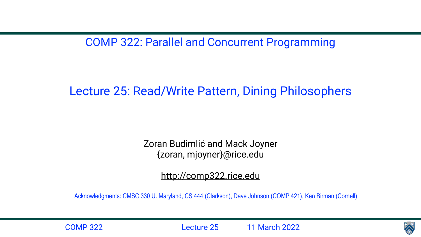COMP 322: Parallel and Concurrent Programming

#### Lecture 25: Read/Write Pattern, Dining Philosophers

Zoran Budimlić and Mack Joyner {zoran, mjoyner}@rice.edu

<http://comp322.rice.edu>

COMP 322 Lecture 25 11 March 2022



Acknowledgments: CMSC 330 U. Maryland, CS 444 (Clarkson), Dave Johnson (COMP 421), Ken Birman (Cornell)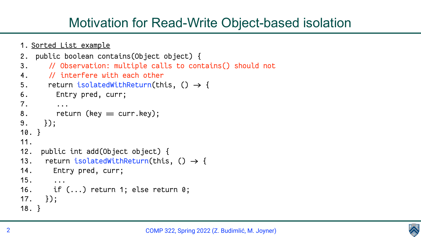

#### Motivation for Read-Write Object-based isolation

```
1. Sorted List example
2. public boolean contains(Object object) {
3. / Observation: multiple calls to contains() should not 
4. / interfere with each other
5. return isolatedWithReturn(this, () \rightarrow \{6. Entry pred, curr;
7. ...
8. return (key = curr.key);
9. });
10. }
11. 
12. public int add(Object object) {
13. return isolatedWithReturn(this, () \rightarrow \{14. Entry pred, curr;
15. ...
16. if (...) return 1; else return 0;
17. });
18. }
```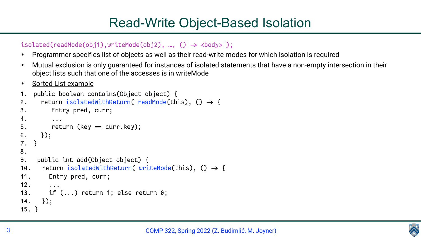

#### Read-Write Object-Based Isolation

```
isolated(readMode(obj1),writeMode(obj2), ..., () \rightarrow cobody>;
```
- Programmer specifies list of objects as well as their read-write modes for which isolation is required
- object lists such that one of the accesses is in writeMode
- Sorted List example

• Mutual exclusion is only guaranteed for instances of isolated statements that have a non-empty intersection in their

```
1. public boolean contains(Object object) {
2. return isolatedWithReturn( readMode(this), () \rightarrow \{3. Entry pred, curr;
4. ...
5. return (key = curr.key);
6. });
7. }
8. 
9. public int add(Object object) {
10. return isolatedWithReturn( writeMode(this), () \rightarrow {
11. Entry pred, curr;
12. ...
13. if (...) return 1; else return 0;
14. });
15. }
```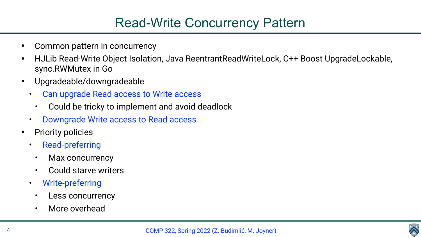

#### Read-Write Concurrency Pattern

• HJLib Read-Write Object Isolation, Java ReentrantReadWriteLock, C++ Boost UpgradeLockable,

- Common pattern in concurrency
- sync.RWMutex in Go
- Upgradeable/downgradeable
	- Can upgrade Read access to Write access
		- Could be tricky to implement and avoid deadlock
	- Downgrade Write access to Read access
- Priority policies
	- Read-preferring
		- Max concurrency
		- Could starve writers
	- Write-preferring
		- Less concurrency
		- More overhead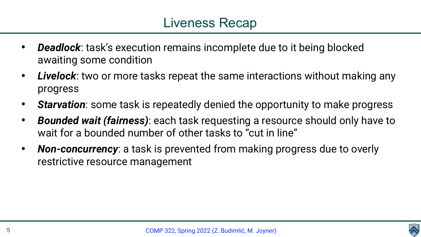- *Deadlock*: task's execution remains incomplete due to it being blocked awaiting some condition
- *Livelock*: two or more tasks repeat the same interactions without making any progress
- *Starvation*: some task is repeatedly denied the opportunity to make progress
- *Bounded wait (fairness)*: each task requesting a resource should only have to wait for a bounded number of other tasks to "cut in line"
- *Non-concurrency*: a task is prevented from making progress due to overly restrictive resource management

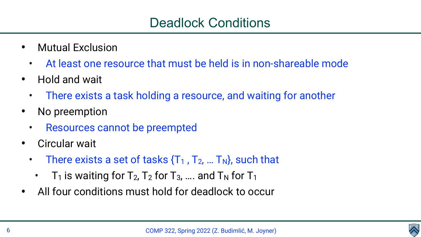

- Mutual Exclusion
	- At least one resource that must be held is in non-shareable mode
- Hold and wait
	- There exists a task holding a resource, and waiting for another
- No preemption
	- Resources cannot be preempted
- Circular wait
	- There exists a set of tasks  $\{T_1, T_2, ... T_N\}$ , such that
		- $T_1$  is waiting for  $T_2$ ,  $T_2$  for  $T_3$ , .... and  $T_N$  for  $T_1$
- All four conditions must hold for deadlock to occur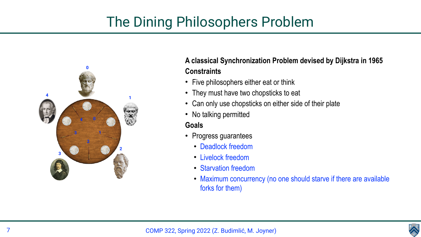# The Dining Philosophers Problem

#### **A classical Synchronization Problem devised by Dijkstra in 1965 Constraints**

- Five philosophers either eat or think
- They must have two chopsticks to eat
- Can only use chopsticks on either side of their plate
- No talking permitted



- Progress guarantees
	- Deadlock freedom
	- Livelock freedom
	- Starvation freedom
	- Maximum concurrency (no one should starve if there are available forks for them)

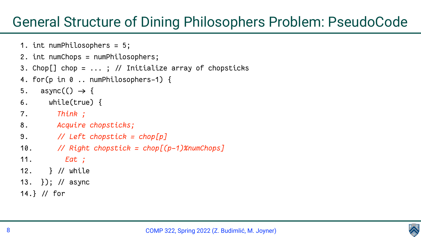



### General Structure of Dining Philosophers Problem: PseudoCode

```
1. int numPhilosophers = 5;
2. int numChops = numPhilosophers;
3. Chop[] chop = ... ; / Initialize array of chopsticks
4. for(p in 0 .. numPhilosophers-1) {
5. async(O \rightarrow \{6. while(true) {
7. Think ;
8. Acquire chopsticks;
9. / Left chopstick = chop[p]
10. / Right chopstick = chop[(p-1)%numChops]
11. Eat ;
12. } / while
13. }); / async 
14.} / for
```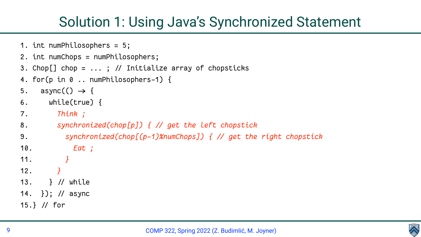

### Solution 1: Using Java's Synchronized Statement

```
1. int numPhilosophers = 5;
2. int numChops = numPhilosophers;
3. Chop[] chop = ... ; / Initialize array of chopsticks
4. for(p in 0 .. numPhilosophers-1) {
5. async(O \rightarrow \{6. while(true) {
7. Think ;
8. synchronized(chop[p]) { / get the left chopstick
9. synchronized(chop[(p-1)%numChops]) { / get the right chopstick
10. Eat ;
11. }
12. }
13. } / while
14. }); / async 
15.} / for
```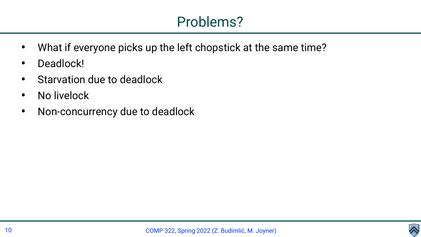



- What if everyone picks up the left chopstick at the same time?
- Deadlock!
- Starvation due to deadlock
- No livelock
- Non-concurrency due to deadlock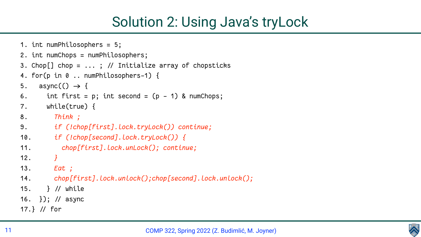

```
1. int numPhilosophers = 5;
2. int numChops = numPhilosophers;
3. Chop[] chop = ... ; / Initialize array of chopsticks
4. for(p in 0 .. numPhilosophers-1) {
5. async(() \rightarrow (6. int first = p; int second = (p - 1) & numChops;
7. while(true) {
8. Think ;
9. if (!chop[first].lock.tryLock()) continue;
10. if (!chop[second].lock.tryLock()) {
11. chop[first].lock.unLock(); continue;
12. }
13. Eat ; 
14. chop[first].lock.unlock();chop[second].lock.unlock();
15. } / while
16. }); / async 
17.} // for
```
### Solution 2: Using Java's tryLock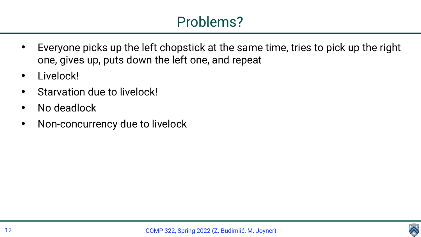#### Problems?

• Everyone picks up the left chopstick at the same time, tries to pick up the right





- one, gives up, puts down the left one, and repeat
- Livelock!
- Starvation due to livelock!
- No deadlock
- Non-concurrency due to livelock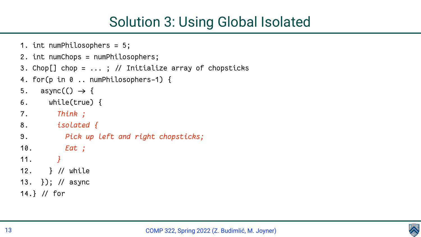

```
1. int numPhilosophers = 5;
2. int numChops = numPhilosophers;
3. Chop[] chop = ... ; / Initialize array of chopsticks
4. for(p in 0 .. numPhilosophers-1) {
5. async(O \rightarrow \{6. while(true) {
7. Think ;
8. isolated {
9. Pick up left and right chopsticks;
10. Eat ;
11. }
12. } / while
13. }); / async 
14.} // for
```
### Solution 3: Using Global Isolated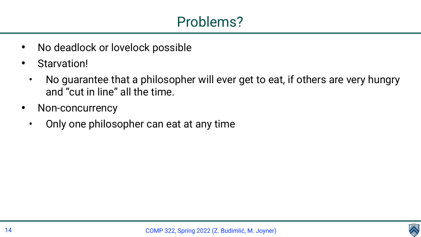



#### • No guarantee that a philosopher will ever get to eat, if others are very hungry

- No deadlock or lovelock possible
- Starvation!
	- and "cut in line" all the time.
- Non-concurrency
	- Only one philosopher can eat at any time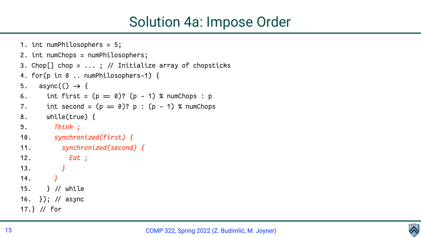

```
1. int numPhilosophers = 5;
2. int numChops = numPhilosophers;
3. Chop[] chop = ... ; / Initialize array of chopsticks
4. for(p in 0 .. numPhilosophers-1) {
5. async(() \rightarrow (6. int first = (p = 0)? (p - 1) % numChops : p
7. int second = (p = 0)? p : (p - 1) % number p = 08. while(true) {
9. Think ;
10. synchronized(first) {
11. synchronized(second) {
12. Eat ;
13. }
14. }
15. } / while
16. }); / async 
17.} // for
```
#### Solution 4a: Impose Order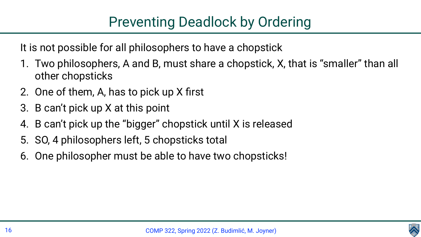It is not possible for all philosophers to have a chopstick

COMP 322, Spring 2022 (Z. Budimlić, M. Joyner)



### Preventing Deadlock by Ordering

1. Two philosophers, A and B, must share a chopstick, X, that is "smaller" than all

- other chopsticks
- 2. One of them, A, has to pick up X first
- 3. B can't pick up X at this point
- 4. B can't pick up the "bigger" chopstick until X is released
- 5. SO, 4 philosophers left, 5 chopsticks total
- 6. One philosopher must be able to have two chopsticks!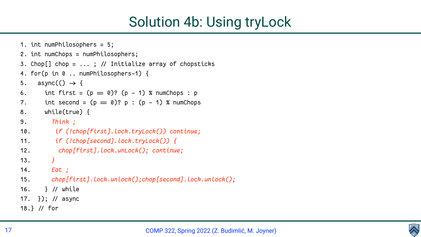

```
1. int numPhilosophers = 5;
2. int numChops = numPhilosophers;
3. Chop[] chop = ... ; / Initialize array of chopsticks
4. for(p in 0 .. numPhilosophers-1) {
5. async(O \rightarrow \{6. int first = (p = 0)? (p - 1) % numChops : p
7. int second = (p = 0)? p : (p - 1) % number p = 08. while(true) {
9. Think ;
10. if (!chop[first].lock.tryLock()) continue;
11. if (!chop[second].lock.tryLock()) {
12. chop[first].lock.unLock(); continue;
13. }
14. Eat ; 
15. chop[first].lock.unlock();chop[second].lock.unlock();
16. } / while
17. }); / async 
18.} // for
```
## Solution 4b: Using tryLock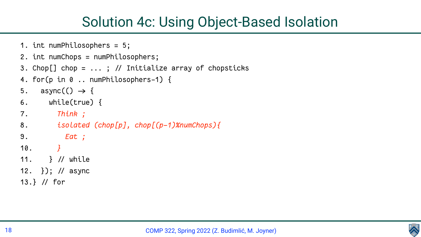

## Solution 4c: Using Object-Based Isolation

```
1. int numPhilosophers = 5;
2. int numChops = numPhilosophers;
3. Chop[] chop = ... ; / Initialize array of chopsticks
4. for(p in 0 .. numPhilosophers-1) {
5. async(O \rightarrow \{6. while(true) {
7. Think ;
8. isolated (chop[p], chop[(p-1)%numChops){
9. Eat ;
10. }
11. } / while
12. }); / async 
13.} / for
```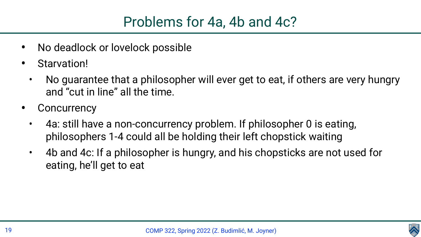



- No deadlock or lovelock possible
- Starvation!
	- No guarantee that a philosopher will ever get to eat, if others are very hungry and "cut in line" all the time.
- **Concurrency** 
	- 4a: still have a non-concurrency problem. If philosopher 0 is eating, philosophers 1-4 could all be holding their left chopstick waiting • 4b and 4c: If a philosopher is hungry, and his chopsticks are not used for
	- eating, he'll get to eat